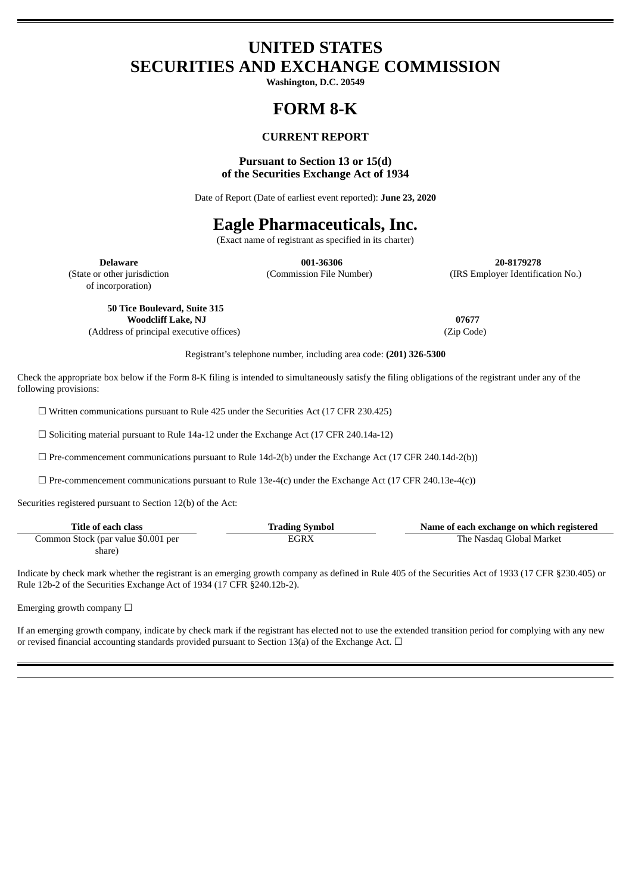## **UNITED STATES SECURITIES AND EXCHANGE COMMISSION**

**Washington, D.C. 20549**

# **FORM 8-K**

### **CURRENT REPORT**

### **Pursuant to Section 13 or 15(d) of the Securities Exchange Act of 1934**

Date of Report (Date of earliest event reported): **June 23, 2020**

## **Eagle Pharmaceuticals, Inc.**

(Exact name of registrant as specified in its charter)

**Delaware 001-36306 20-8179278** (State or other jurisdiction (Commission File Number) (IRS Employer Identification No.)

of incorporation)

**50 Tice Boulevard, Suite 315 Woodcliff Lake, NJ 07677** (Address of principal executive offices) (Zip Code)

Registrant's telephone number, including area code: **(201) 326-5300**

Check the appropriate box below if the Form 8-K filing is intended to simultaneously satisfy the filing obligations of the registrant under any of the following provisions:

☐ Written communications pursuant to Rule 425 under the Securities Act (17 CFR 230.425)

☐ Soliciting material pursuant to Rule 14a-12 under the Exchange Act (17 CFR 240.14a-12)

 $\Box$  Pre-commencement communications pursuant to Rule 14d-2(b) under the Exchange Act (17 CFR 240.14d-2(b))

 $\Box$  Pre-commencement communications pursuant to Rule 13e-4(c) under the Exchange Act (17 CFR 240.13e-4(c))

Securities registered pursuant to Section 12(b) of the Act:

| Title of each class                 | <b>Trading Symbol</b> | Name of each exchange on which registered |
|-------------------------------------|-----------------------|-------------------------------------------|
| Common Stock (par value \$0.001 per | EGRX                  | The Nasdaq Global Market                  |
| share)                              |                       |                                           |

Indicate by check mark whether the registrant is an emerging growth company as defined in Rule 405 of the Securities Act of 1933 (17 CFR §230.405) or Rule 12b-2 of the Securities Exchange Act of 1934 (17 CFR §240.12b-2).

Emerging growth company  $\Box$ 

If an emerging growth company, indicate by check mark if the registrant has elected not to use the extended transition period for complying with any new or revised financial accounting standards provided pursuant to Section 13(a) of the Exchange Act.  $\Box$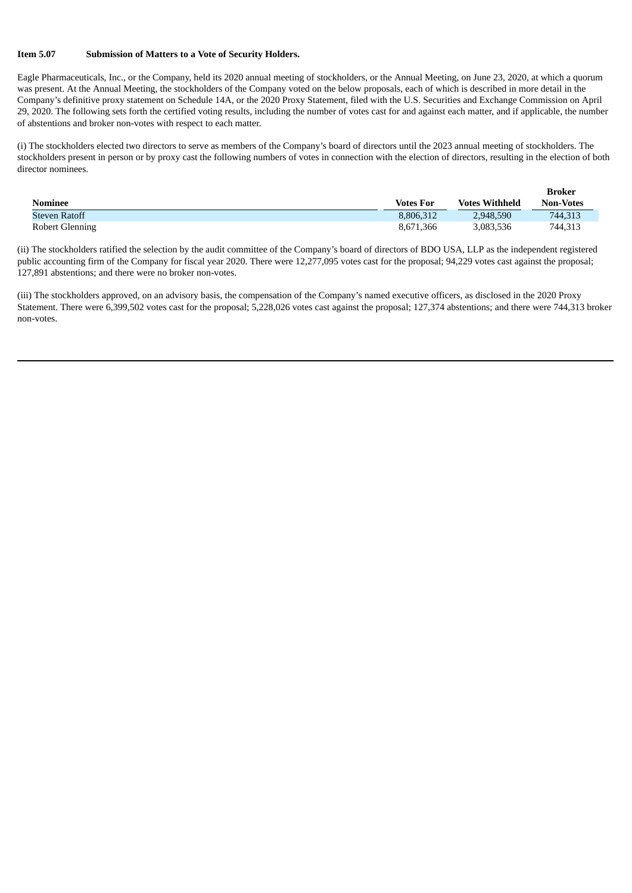#### **Item 5.07 Submission of Matters to a Vote of Security Holders.**

Eagle Pharmaceuticals, Inc., or the Company, held its 2020 annual meeting of stockholders, or the Annual Meeting, on June 23, 2020, at which a quorum was present. At the Annual Meeting, the stockholders of the Company voted on the below proposals, each of which is described in more detail in the Company's definitive proxy statement on Schedule 14A, or the 2020 Proxy Statement, filed with the U.S. Securities and Exchange Commission on April 29, 2020. The following sets forth the certified voting results, including the number of votes cast for and against each matter, and if applicable, the number of abstentions and broker non-votes with respect to each matter.

(i) The stockholders elected two directors to serve as members of the Company's board of directors until the 2023 annual meeting of stockholders. The stockholders present in person or by proxy cast the following numbers of votes in connection with the election of directors, resulting in the election of both director nominees.

| <b>Nominee</b>         | <b>Votes For</b> | <b>Votes Withheld</b> | <b>Broker</b><br><b>Non-Votes</b> |
|------------------------|------------------|-----------------------|-----------------------------------|
| <b>Steven Ratoff</b>   | 8.806.312        | 2,948,590             | 744,313                           |
| <b>Robert Glenning</b> | 8,671,366        | 3,083,536             | 744,313                           |

(ii) The stockholders ratified the selection by the audit committee of the Company's board of directors of BDO USA, LLP as the independent registered public accounting firm of the Company for fiscal year 2020. There were 12,277,095 votes cast for the proposal; 94,229 votes cast against the proposal; 127,891 abstentions; and there were no broker non-votes.

(iii) The stockholders approved, on an advisory basis, the compensation of the Company's named executive officers, as disclosed in the 2020 Proxy Statement. There were 6,399,502 votes cast for the proposal; 5,228,026 votes cast against the proposal; 127,374 abstentions; and there were 744,313 broker non-votes.